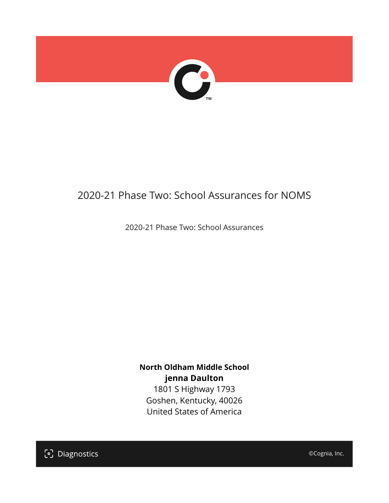

# 2020-21 Phase Two: School Assurances for NOMS

2020-21 Phase Two: School Assurances

**North Oldham Middle School jenna Daulton**

1801 S Highway 1793 Goshen, Kentucky, 40026 United States of America

[၁] Diagnostics

©Cognia, Inc.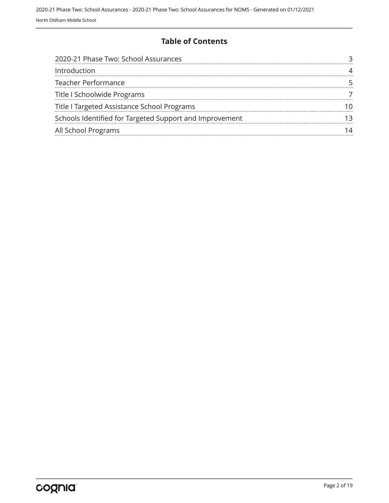#### **Table of Contents**

| 2020-21 Phase Two: School Assurances                    |  |
|---------------------------------------------------------|--|
| Introduction                                            |  |
| <b>Teacher Performance</b>                              |  |
| Title I Schoolwide Programs                             |  |
| Title I Targeted Assistance School Programs             |  |
| Schools Identified for Targeted Support and Improvement |  |
| All School Programs                                     |  |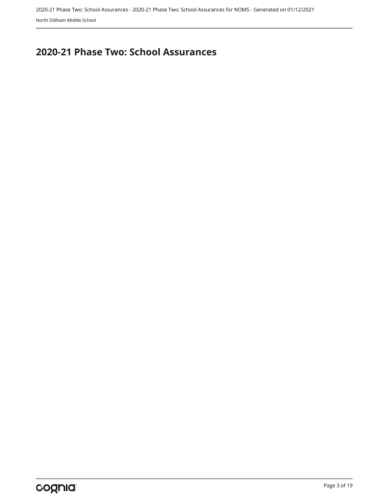## <span id="page-2-0"></span>**2020-21 Phase Two: School Assurances**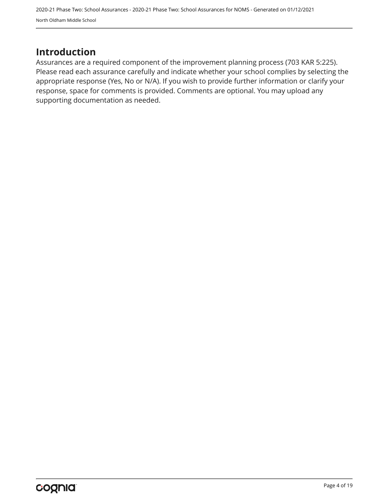2020-21 Phase Two: School Assurances - 2020-21 Phase Two: School Assurances for NOMS - Generated on 01/12/2021 North Oldham Middle School

## <span id="page-3-0"></span>**Introduction**

Assurances are a required component of the improvement planning process (703 KAR 5:225). Please read each assurance carefully and indicate whether your school complies by selecting the appropriate response (Yes, No or N/A). If you wish to provide further information or clarify your response, space for comments is provided. Comments are optional. You may upload any supporting documentation as needed.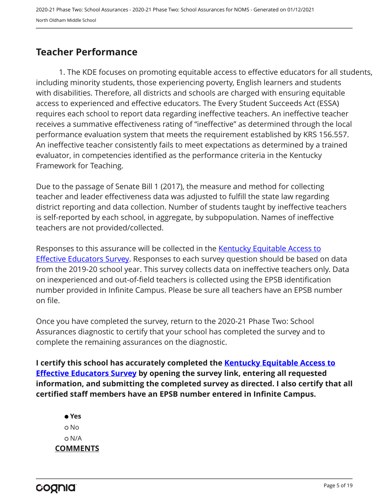## <span id="page-4-0"></span>**Teacher Performance**

1. The KDE focuses on promoting equitable access to effective educators for all students, including minority students, those experiencing poverty, English learners and students with disabilities. Therefore, all districts and schools are charged with ensuring equitable access to experienced and effective educators. The Every Student Succeeds Act (ESSA) requires each school to report data regarding ineffective teachers. An ineffective teacher receives a summative effectiveness rating of "ineffective" as determined through the local performance evaluation system that meets the requirement established by KRS 156.557. An ineffective teacher consistently fails to meet expectations as determined by a trained evaluator, in competencies identified as the performance criteria in the Kentucky Framework for Teaching.

Due to the passage of Senate Bill 1 (2017), the measure and method for collecting teacher and leader effectiveness data was adjusted to fulfill the state law regarding district reporting and data collection. Number of students taught by ineffective teachers is self-reported by each school, in aggregate, by subpopulation. Names of ineffective teachers are not provided/collected.

Responses to this assurance will be collected in the [Kentucky Equitable Access to](https://www.surveymonkey.com/r/PNPMCCV) **[Effective Educators Survey](https://www.surveymonkey.com/r/PNPMCCV).** Responses to each survey question should be based on data from the 2019-20 school year. This survey collects data on ineffective teachers only. Data on inexperienced and out-of-field teachers is collected using the EPSB identification number provided in Infinite Campus. Please be sure all teachers have an EPSB number on file.

Once you have completed the survey, return to the 2020-21 Phase Two: School Assurances diagnostic to certify that your school has completed the survey and to complete the remaining assurances on the diagnostic.

**I certify this school has accurately completed the [Kentucky Equitable Access to](https://www.surveymonkey.com/r/PNPMCCV) [Effective Educators Survey](https://www.surveymonkey.com/r/PNPMCCV) by opening the survey link, entering all requested information, and submitting the completed survey as directed. I also certify that all certified staff members have an EPSB number entered in Infinite Campus.**

 **Yes** No N/A **COMMENTS**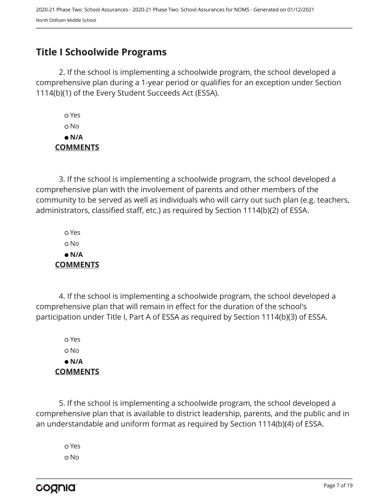## <span id="page-6-0"></span>**Title I Schoolwide Programs**

2. If the school is implementing a schoolwide program, the school developed a comprehensive plan during a 1-year period or qualifies for an exception under Section 1114(b)(1) of the Every Student Succeeds Act (ESSA).

 Yes o No  **N/A COMMENTS**

3. If the school is implementing a schoolwide program, the school developed a comprehensive plan with the involvement of parents and other members of the community to be served as well as individuals who will carry out such plan (e.g. teachers, administrators, classified staff, etc.) as required by Section 1114(b)(2) of ESSA.

 Yes No  **N/A COMMENTS**

4. If the school is implementing a schoolwide program, the school developed a comprehensive plan that will remain in effect for the duration of the school's participation under Title I, Part A of ESSA as required by Section 1114(b)(3) of ESSA.

 Yes No  **N/A COMMENTS**

5. If the school is implementing a schoolwide program, the school developed a comprehensive plan that is available to district leadership, parents, and the public and in an understandable and uniform format as required by Section 1114(b)(4) of ESSA.

 Yes o No

cognia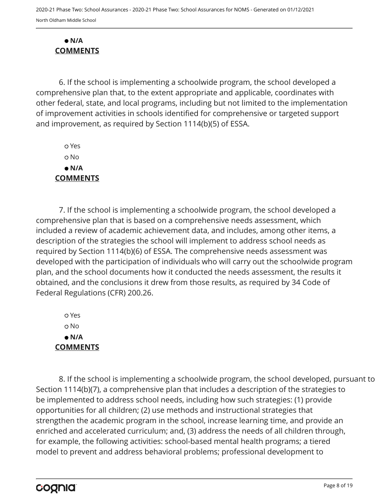#### **N/A COMMENTS**

6. If the school is implementing a schoolwide program, the school developed a comprehensive plan that, to the extent appropriate and applicable, coordinates with other federal, state, and local programs, including but not limited to the implementation of improvement activities in schools identified for comprehensive or targeted support and improvement, as required by Section 1114(b)(5) of ESSA.

 Yes No  **N/A COMMENTS**

7. If the school is implementing a schoolwide program, the school developed a comprehensive plan that is based on a comprehensive needs assessment, which included a review of academic achievement data, and includes, among other items, a description of the strategies the school will implement to address school needs as required by Section 1114(b)(6) of ESSA. The comprehensive needs assessment was developed with the participation of individuals who will carry out the schoolwide program plan, and the school documents how it conducted the needs assessment, the results it obtained, and the conclusions it drew from those results, as required by 34 Code of Federal Regulations (CFR) 200.26.

 Yes o No  **N/A COMMENTS**

8. If the school is implementing a schoolwide program, the school developed, pursuant to Section 1114(b)(7), a comprehensive plan that includes a description of the strategies to be implemented to address school needs, including how such strategies: (1) provide opportunities for all children; (2) use methods and instructional strategies that strengthen the academic program in the school, increase learning time, and provide an enriched and accelerated curriculum; and, (3) address the needs of all children through, for example, the following activities: school-based mental health programs; a tiered model to prevent and address behavioral problems; professional development to

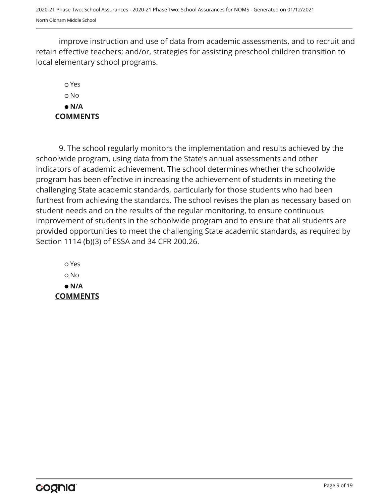2020-21 Phase Two: School Assurances - 2020-21 Phase Two: School Assurances for NOMS - Generated on 01/12/2021 North Oldham Middle School

improve instruction and use of data from academic assessments, and to recruit and retain effective teachers; and/or, strategies for assisting preschool children transition to local elementary school programs.

### Yes o No  **N/A COMMENTS**

9. The school regularly monitors the implementation and results achieved by the schoolwide program, using data from the State's annual assessments and other indicators of academic achievement. The school determines whether the schoolwide program has been effective in increasing the achievement of students in meeting the challenging State academic standards, particularly for those students who had been furthest from achieving the standards. The school revises the plan as necessary based on student needs and on the results of the regular monitoring, to ensure continuous improvement of students in the schoolwide program and to ensure that all students are provided opportunities to meet the challenging State academic standards, as required by Section 1114 (b)(3) of ESSA and 34 CFR 200.26.

 Yes o No  **N/A COMMENTS**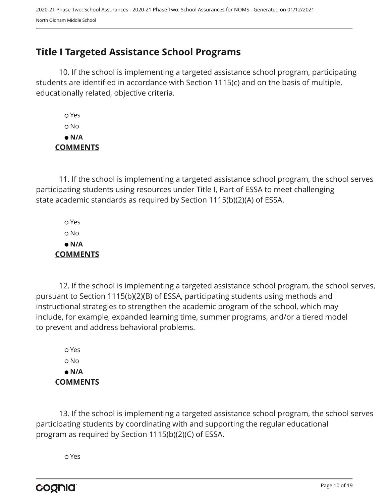## <span id="page-9-0"></span>**Title I Targeted Assistance School Programs**

10. If the school is implementing a targeted assistance school program, participating students are identified in accordance with Section 1115(c) and on the basis of multiple, educationally related, objective criteria.

 Yes o No  **N/A COMMENTS**

11. If the school is implementing a targeted assistance school program, the school serves participating students using resources under Title I, Part of ESSA to meet challenging state academic standards as required by Section 1115(b)(2)(A) of ESSA.

 Yes No  **N/A COMMENTS**

12. If the school is implementing a targeted assistance school program, the school serves, pursuant to Section 1115(b)(2)(B) of ESSA, participating students using methods and instructional strategies to strengthen the academic program of the school, which may include, for example, expanded learning time, summer programs, and/or a tiered model to prevent and address behavioral problems.

 Yes o No  **N/A COMMENTS**

13. If the school is implementing a targeted assistance school program, the school serves participating students by coordinating with and supporting the regular educational program as required by Section 1115(b)(2)(C) of ESSA.

Yes

cognia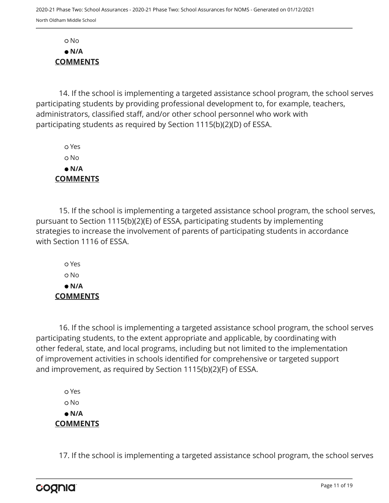No  **N/A COMMENTS**

14. If the school is implementing a targeted assistance school program, the school serves participating students by providing professional development to, for example, teachers, administrators, classified staff, and/or other school personnel who work with participating students as required by Section 1115(b)(2)(D) of ESSA.

 Yes No  **N/A COMMENTS**

15. If the school is implementing a targeted assistance school program, the school serves, pursuant to Section 1115(b)(2)(E) of ESSA, participating students by implementing strategies to increase the involvement of parents of participating students in accordance with Section 1116 of ESSA.

 Yes o No  **N/A COMMENTS**

16. If the school is implementing a targeted assistance school program, the school serves participating students, to the extent appropriate and applicable, by coordinating with other federal, state, and local programs, including but not limited to the implementation of improvement activities in schools identified for comprehensive or targeted support and improvement, as required by Section 1115(b)(2)(F) of ESSA.

 Yes o No  **N/A COMMENTS**

17. If the school is implementing a targeted assistance school program, the school serves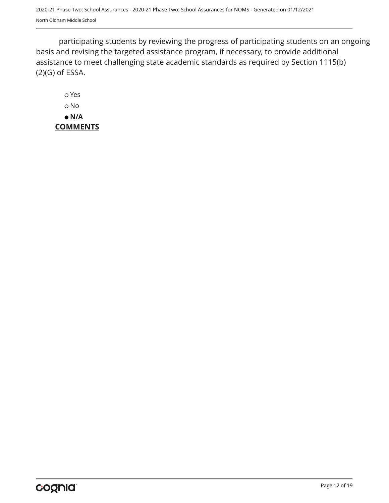participating students by reviewing the progress of participating students on an ongoing basis and revising the targeted assistance program, if necessary, to provide additional assistance to meet challenging state academic standards as required by Section 1115(b) (2)(G) of ESSA.

 Yes o No  **N/A COMMENTS**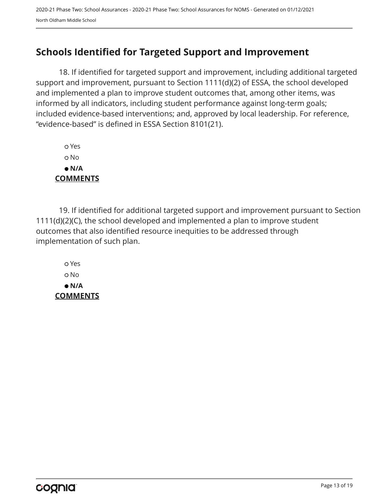## <span id="page-12-0"></span>**Schools Identified for Targeted Support and Improvement**

18. If identified for targeted support and improvement, including additional targeted support and improvement, pursuant to Section 1111(d)(2) of ESSA, the school developed and implemented a plan to improve student outcomes that, among other items, was informed by all indicators, including student performance against long-term goals; included evidence-based interventions; and, approved by local leadership. For reference, "evidence-based" is defined in ESSA Section 8101(21).

 Yes No  **N/A COMMENTS**

19. If identified for additional targeted support and improvement pursuant to Section 1111(d)(2)(C), the school developed and implemented a plan to improve student outcomes that also identified resource inequities to be addressed through implementation of such plan.

 Yes No  **N/A COMMENTS**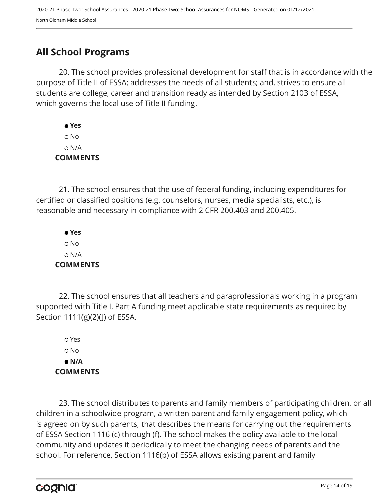## <span id="page-13-0"></span>**All School Programs**

20. The school provides professional development for staff that is in accordance with the purpose of Title II of ESSA; addresses the needs of all students; and, strives to ensure all students are college, career and transition ready as intended by Section 2103 of ESSA, which governs the local use of Title II funding.

 **Yes** No N/A **COMMENTS**

21. The school ensures that the use of federal funding, including expenditures for certified or classified positions (e.g. counselors, nurses, media specialists, etc.), is reasonable and necessary in compliance with 2 CFR 200.403 and 200.405.

 **Yes** No N/A **COMMENTS**

22. The school ensures that all teachers and paraprofessionals working in a program supported with Title I, Part A funding meet applicable state requirements as required by Section 1111(g)(2)(J) of ESSA.

 Yes No  **N/A COMMENTS**

23. The school distributes to parents and family members of participating children, or all children in a schoolwide program, a written parent and family engagement policy, which is agreed on by such parents, that describes the means for carrying out the requirements of ESSA Section 1116 (c) through (f). The school makes the policy available to the local community and updates it periodically to meet the changing needs of parents and the school. For reference, Section 1116(b) of ESSA allows existing parent and family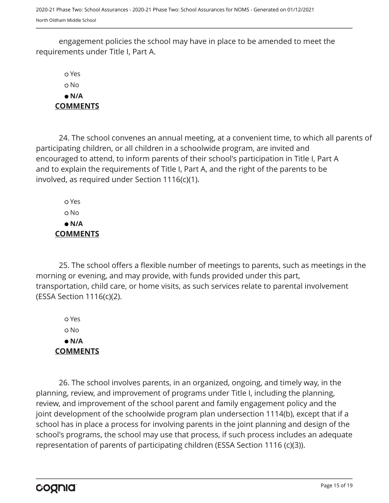2020-21 Phase Two: School Assurances - 2020-21 Phase Two: School Assurances for NOMS - Generated on 01/12/2021 North Oldham Middle School

engagement policies the school may have in place to be amended to meet the requirements under Title I, Part A.

 Yes No  **N/A COMMENTS**

24. The school convenes an annual meeting, at a convenient time, to which all parents of participating children, or all children in a schoolwide program, are invited and encouraged to attend, to inform parents of their school's participation in Title I, Part A and to explain the requirements of Title I, Part A, and the right of the parents to be involved, as required under Section 1116(c)(1).

 Yes No  **N/A COMMENTS**

25. The school offers a flexible number of meetings to parents, such as meetings in the morning or evening, and may provide, with funds provided under this part, transportation, child care, or home visits, as such services relate to parental involvement (ESSA Section 1116(c)(2).

 Yes No  **N/A COMMENTS**

26. The school involves parents, in an organized, ongoing, and timely way, in the planning, review, and improvement of programs under Title I, including the planning, review, and improvement of the school parent and family engagement policy and the joint development of the schoolwide program plan undersection 1114(b), except that if a school has in place a process for involving parents in the joint planning and design of the school's programs, the school may use that process, if such process includes an adequate representation of parents of participating children (ESSA Section 1116 (c)(3)).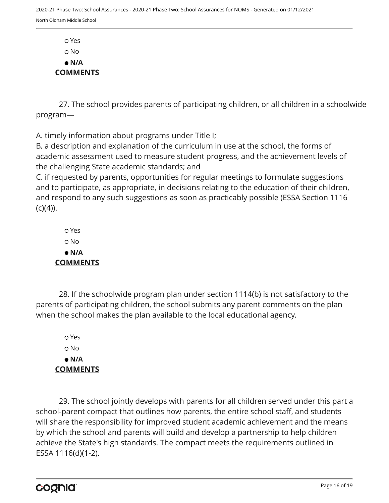Yes o No  **N/A COMMENTS**

27. The school provides parents of participating children, or all children in a schoolwide program—

A. timely information about programs under Title I;

B. a description and explanation of the curriculum in use at the school, the forms of academic assessment used to measure student progress, and the achievement levels of the challenging State academic standards; and

C. if requested by parents, opportunities for regular meetings to formulate suggestions and to participate, as appropriate, in decisions relating to the education of their children, and respond to any such suggestions as soon as practicably possible (ESSA Section 1116  $(C)(4)$ ).

 Yes o No  **N/A COMMENTS**

28. If the schoolwide program plan under section 1114(b) is not satisfactory to the parents of participating children, the school submits any parent comments on the plan when the school makes the plan available to the local educational agency.

 Yes o No  **N/A COMMENTS**

29. The school jointly develops with parents for all children served under this part a school-parent compact that outlines how parents, the entire school staff, and students will share the responsibility for improved student academic achievement and the means by which the school and parents will build and develop a partnership to help children achieve the State's high standards. The compact meets the requirements outlined in ESSA 1116(d)(1-2).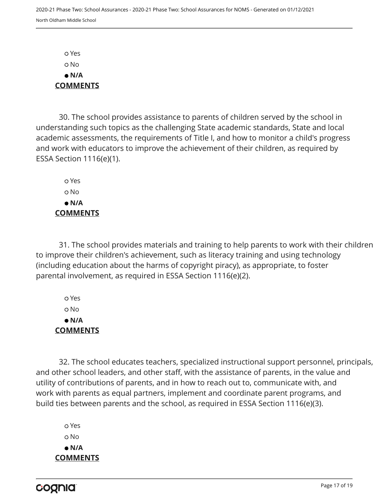Yes No  **N/A COMMENTS**

30. The school provides assistance to parents of children served by the school in understanding such topics as the challenging State academic standards, State and local academic assessments, the requirements of Title I, and how to monitor a child's progress and work with educators to improve the achievement of their children, as required by ESSA Section 1116(e)(1).

 Yes o No  **N/A COMMENTS**

31. The school provides materials and training to help parents to work with their children to improve their children's achievement, such as literacy training and using technology (including education about the harms of copyright piracy), as appropriate, to foster parental involvement, as required in ESSA Section 1116(e)(2).

 Yes No  **N/A COMMENTS**

32. The school educates teachers, specialized instructional support personnel, principals, and other school leaders, and other staff, with the assistance of parents, in the value and utility of contributions of parents, and in how to reach out to, communicate with, and work with parents as equal partners, implement and coordinate parent programs, and build ties between parents and the school, as required in ESSA Section 1116(e)(3).

 Yes o No  **N/A COMMENTS**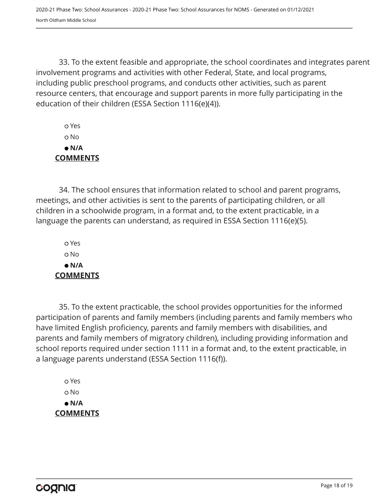33. To the extent feasible and appropriate, the school coordinates and integrates parent involvement programs and activities with other Federal, State, and local programs, including public preschool programs, and conducts other activities, such as parent resource centers, that encourage and support parents in more fully participating in the education of their children (ESSA Section 1116(e)(4)).

 Yes No  **N/A COMMENTS**

34. The school ensures that information related to school and parent programs, meetings, and other activities is sent to the parents of participating children, or all children in a schoolwide program, in a format and, to the extent practicable, in a language the parents can understand, as required in ESSA Section 1116(e)(5).

 Yes o No  **N/A COMMENTS**

35. To the extent practicable, the school provides opportunities for the informed participation of parents and family members (including parents and family members who have limited English proficiency, parents and family members with disabilities, and parents and family members of migratory children), including providing information and school reports required under section 1111 in a format and, to the extent practicable, in a language parents understand (ESSA Section 1116(f)).

 Yes No  **N/A COMMENTS**